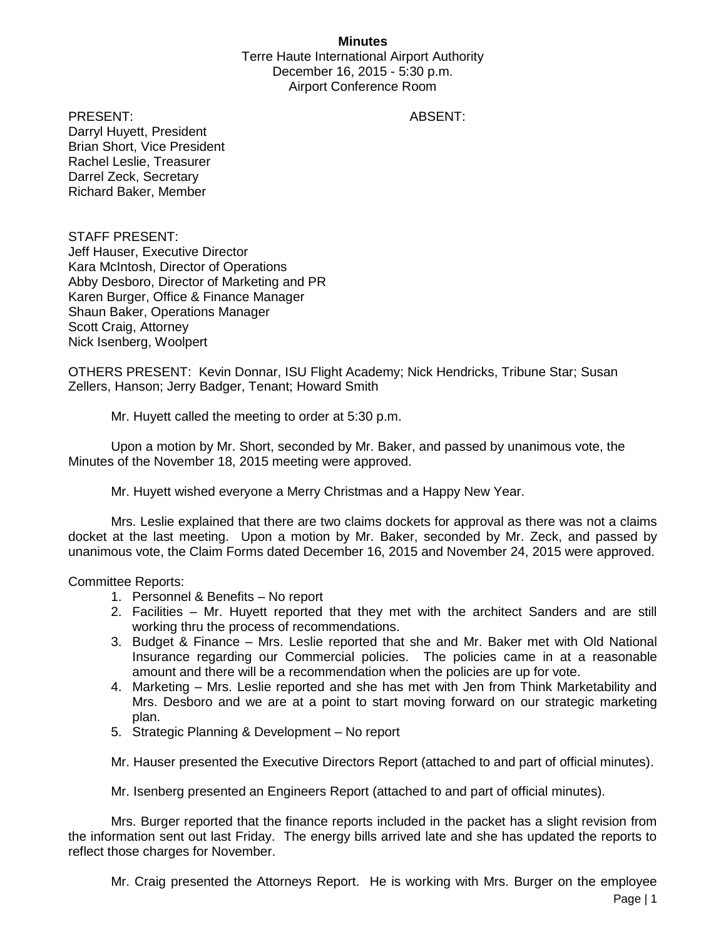## **Minutes**

Terre Haute International Airport Authority December 16, 2015 - 5:30 p.m. Airport Conference Room

PRESENT: ABSENT: Darryl Huyett, President Brian Short, Vice President Rachel Leslie, Treasurer Darrel Zeck, Secretary Richard Baker, Member

STAFF PRESENT: Jeff Hauser, Executive Director Kara McIntosh, Director of Operations Abby Desboro, Director of Marketing and PR Karen Burger, Office & Finance Manager Shaun Baker, Operations Manager Scott Craig, Attorney Nick Isenberg, Woolpert

OTHERS PRESENT: Kevin Donnar, ISU Flight Academy; Nick Hendricks, Tribune Star; Susan Zellers, Hanson; Jerry Badger, Tenant; Howard Smith

Mr. Huyett called the meeting to order at 5:30 p.m.

Upon a motion by Mr. Short, seconded by Mr. Baker, and passed by unanimous vote, the Minutes of the November 18, 2015 meeting were approved.

Mr. Huyett wished everyone a Merry Christmas and a Happy New Year.

Mrs. Leslie explained that there are two claims dockets for approval as there was not a claims docket at the last meeting. Upon a motion by Mr. Baker, seconded by Mr. Zeck, and passed by unanimous vote, the Claim Forms dated December 16, 2015 and November 24, 2015 were approved.

Committee Reports:

- 1. Personnel & Benefits No report
- 2. Facilities Mr. Huyett reported that they met with the architect Sanders and are still working thru the process of recommendations.
- 3. Budget & Finance Mrs. Leslie reported that she and Mr. Baker met with Old National Insurance regarding our Commercial policies. The policies came in at a reasonable amount and there will be a recommendation when the policies are up for vote.
- 4. Marketing Mrs. Leslie reported and she has met with Jen from Think Marketability and Mrs. Desboro and we are at a point to start moving forward on our strategic marketing plan.
- 5. Strategic Planning & Development No report

Mr. Hauser presented the Executive Directors Report (attached to and part of official minutes).

Mr. Isenberg presented an Engineers Report (attached to and part of official minutes).

Mrs. Burger reported that the finance reports included in the packet has a slight revision from the information sent out last Friday. The energy bills arrived late and she has updated the reports to reflect those charges for November.

Mr. Craig presented the Attorneys Report. He is working with Mrs. Burger on the employee